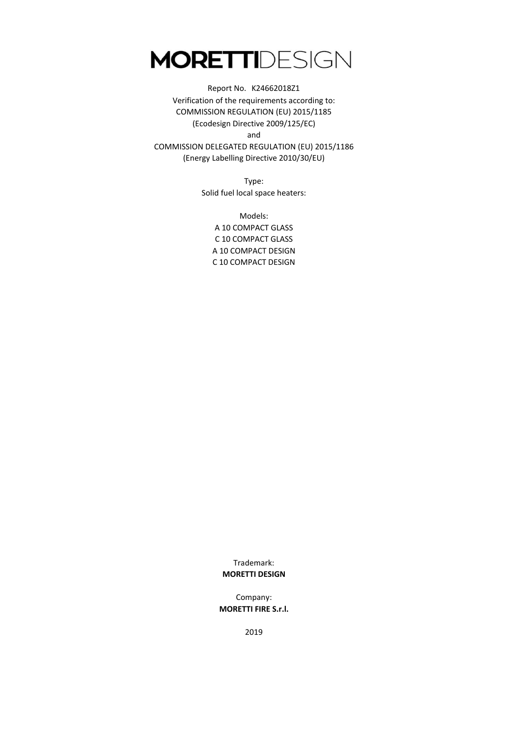and Report No. K24662018Z1 Verification of the requirements according to: COMMISSION REGULATION (EU) 2015/1185 (Ecodesign Directive 2009/125/EC)

COMMISSION DELEGATED REGULATION (EU) 2015/1186 (Energy Labelling Directive 2010/30/EU)

> Type: Solid fuel local space heaters:

Models: A 10 COMPACT GLASS C 10 COMPACT GLASS A 10 COMPACT DESIGN C 10 COMPACT DESIGN

> Trademark: **MORETTI DESIGN**

Company: **MORETTI FIRE S.r.l.**

2019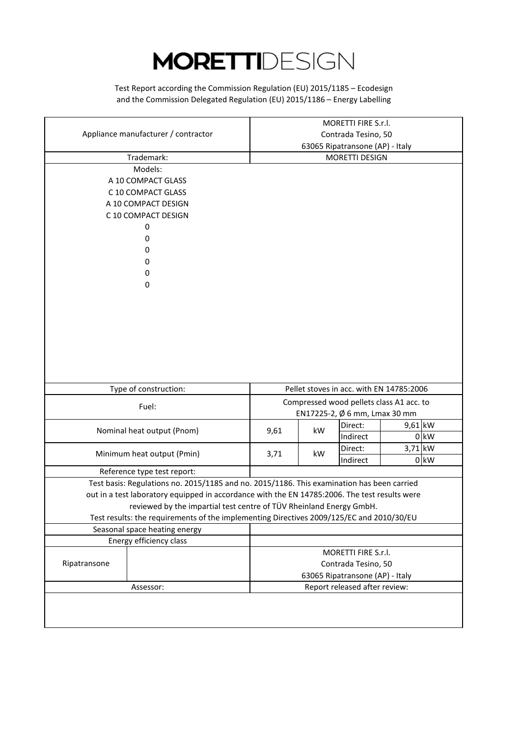and the Commission Delegated Regulation (EU) 2015/1186 – Energy Labelling Test Report according the Commission Regulation (EU) 2015/1185 – Ecodesign

|                                                                                               | MORETTI FIRE S.r.l.                                    |    |                                          |         |        |
|-----------------------------------------------------------------------------------------------|--------------------------------------------------------|----|------------------------------------------|---------|--------|
| Appliance manufacturer / contractor                                                           | Contrada Tesino, 50                                    |    |                                          |         |        |
|                                                                                               | 63065 Ripatransone (AP) - Italy                        |    |                                          |         |        |
| Trademark:                                                                                    | <b>MORETTI DESIGN</b>                                  |    |                                          |         |        |
| Models:                                                                                       |                                                        |    |                                          |         |        |
| A 10 COMPACT GLASS                                                                            |                                                        |    |                                          |         |        |
| C 10 COMPACT GLASS                                                                            |                                                        |    |                                          |         |        |
| A 10 COMPACT DESIGN                                                                           |                                                        |    |                                          |         |        |
| C 10 COMPACT DESIGN                                                                           |                                                        |    |                                          |         |        |
| 0                                                                                             |                                                        |    |                                          |         |        |
| 0                                                                                             |                                                        |    |                                          |         |        |
| 0                                                                                             |                                                        |    |                                          |         |        |
| 0                                                                                             |                                                        |    |                                          |         |        |
| 0                                                                                             |                                                        |    |                                          |         |        |
| 0                                                                                             |                                                        |    |                                          |         |        |
|                                                                                               |                                                        |    |                                          |         |        |
|                                                                                               |                                                        |    |                                          |         |        |
|                                                                                               |                                                        |    |                                          |         |        |
|                                                                                               |                                                        |    |                                          |         |        |
|                                                                                               |                                                        |    |                                          |         |        |
|                                                                                               |                                                        |    |                                          |         |        |
|                                                                                               |                                                        |    |                                          |         |        |
|                                                                                               |                                                        |    |                                          |         |        |
| Type of construction:                                                                         |                                                        |    | Pellet stoves in acc. with EN 14785:2006 |         |        |
|                                                                                               |                                                        |    | Compressed wood pellets class A1 acc. to |         |        |
| Fuel:                                                                                         |                                                        |    | EN17225-2, Ø 6 mm, Lmax 30 mm            |         |        |
|                                                                                               |                                                        |    | Direct:                                  | 9,61 kW |        |
| Nominal heat output (Pnom)                                                                    | 9,61                                                   | kW | Indirect                                 |         | $0$ kW |
|                                                                                               |                                                        |    | Direct:                                  | 3,71 kW |        |
| Minimum heat output (Pmin)                                                                    | 3,71                                                   | kW | Indirect                                 |         | $0$ kW |
| Reference type test report:                                                                   |                                                        |    |                                          |         |        |
| Test basis: Regulations no. 2015/1185 and no. 2015/1186. This examination has been carried    |                                                        |    |                                          |         |        |
| out in a test laboratory equipped in accordance with the EN 14785:2006. The test results were |                                                        |    |                                          |         |        |
| reviewed by the impartial test centre of TÜV Rheinland Energy GmbH.                           |                                                        |    |                                          |         |        |
| Test results: the requirements of the implementing Directives 2009/125/EC and 2010/30/EU      |                                                        |    |                                          |         |        |
| Seasonal space heating energy                                                                 |                                                        |    |                                          |         |        |
| Energy efficiency class                                                                       |                                                        |    |                                          |         |        |
|                                                                                               |                                                        |    |                                          |         |        |
|                                                                                               | MORETTI FIRE S.r.l.                                    |    |                                          |         |        |
| Ripatransone                                                                                  | Contrada Tesino, 50<br>63065 Ripatransone (AP) - Italy |    |                                          |         |        |
|                                                                                               |                                                        |    |                                          |         |        |
| Assessor:                                                                                     |                                                        |    | Report released after review:            |         |        |
|                                                                                               |                                                        |    |                                          |         |        |
|                                                                                               |                                                        |    |                                          |         |        |
|                                                                                               |                                                        |    |                                          |         |        |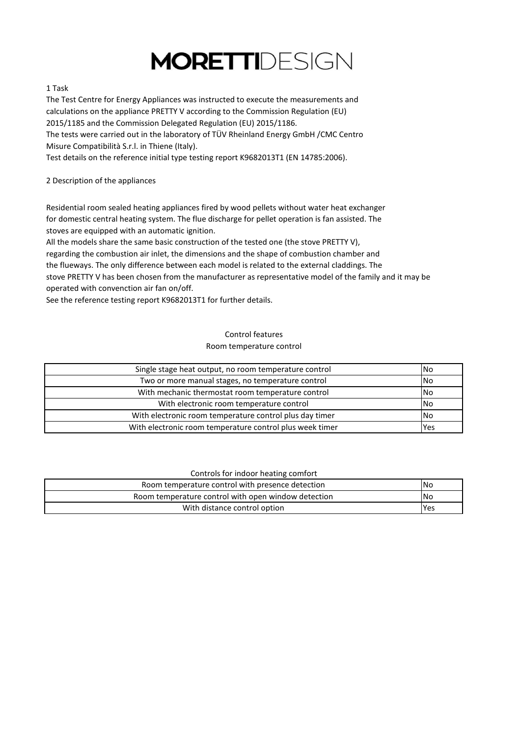#### 1 Task

The Test Centre for Energy Appliances was instructed to execute the measurements and calculations on the appliance PRETTY V according to the Commission Regulation (EU) 2015/1185 and the Commission Delegated Regulation (EU) 2015/1186. The tests were carried out in the laboratory of TÜV Rheinland Energy GmbH /CMC Centro Misure Compatibilità S.r.l. in Thiene (Italy).

Test details on the reference initial type testing report K9682013T1 (EN 14785:2006).

2 Description of the appliances

Residential room sealed heating appliances fired by wood pellets without water heat exchanger for domestic central heating system. The flue discharge for pellet operation is fan assisted. The stoves are equipped with an automatic ignition.

All the models share the same basic construction of the tested one (the stove PRETTY V), regarding the combustion air inlet, the dimensions and the shape of combustion chamber and the flueways. The only difference between each model is related to the external claddings. The stove PRETTY V has been chosen from the manufacturer as representative model of the family and it may be operated with convenction air fan on/off.

See the reference testing report K9682013T1 for further details.

#### Room temperature control Control features

| Single stage heat output, no room temperature control    | <b>No</b>  |
|----------------------------------------------------------|------------|
| Two or more manual stages, no temperature control        | <b>No</b>  |
| With mechanic thermostat room temperature control        | <b>No</b>  |
| With electronic room temperature control                 | <b>No</b>  |
| With electronic room temperature control plus day timer  | <b>No</b>  |
| With electronic room temperature control plus week timer | <b>Yes</b> |

#### Controls for indoor heating comfort

| Room temperature control with presence detection    | <b>INo</b> |
|-----------------------------------------------------|------------|
| Room temperature control with open window detection | <b>INo</b> |
| With distance control option                        | <b>Yes</b> |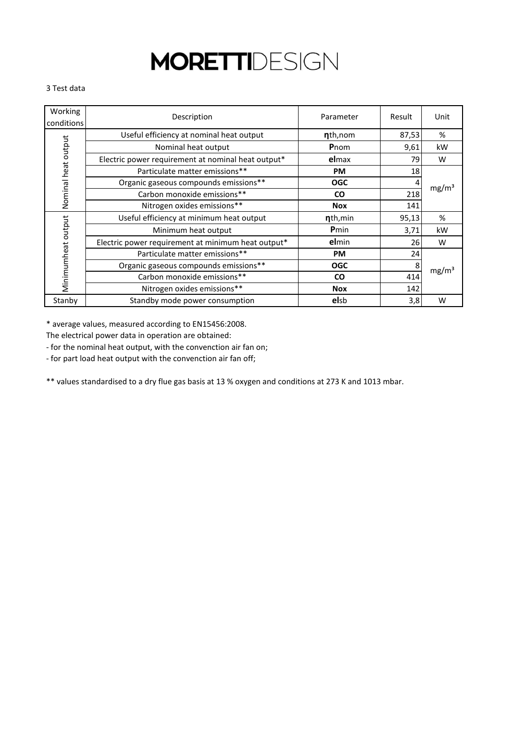#### 3 Test data

| Working<br>conditions | Description                                        | Parameter    | Result | Unit              |
|-----------------------|----------------------------------------------------|--------------|--------|-------------------|
|                       | Useful efficiency at nominal heat output           | nth, nom     | 87,53  | %                 |
| Nominal heat output   | Nominal heat output                                | Pnom         | 9,61   | kW                |
|                       | Electric power requirement at nominal heat output* | elmax        | 79     | W                 |
|                       | Particulate matter emissions**                     | <b>PM</b>    | 18     |                   |
|                       | Organic gaseous compounds emissions**              | <b>OGC</b>   |        | mg/m <sup>3</sup> |
|                       | Carbon monoxide emissions**                        | <b>CO</b>    | 218    |                   |
|                       | Nitrogen oxides emissions**                        | <b>Nox</b>   | 141    |                   |
|                       | Useful efficiency at minimum heat output           | nth, min     | 95,13  | %                 |
|                       | Minimum heat output                                | <b>P</b> min | 3,71   | kW                |
|                       | Electric power requirement at minimum heat output* | elmin        | 26     | W                 |
| Minimumheat output    | Particulate matter emissions**                     | <b>PM</b>    | 24     |                   |
|                       | Organic gaseous compounds emissions**              | <b>OGC</b>   | 8      |                   |
|                       | Carbon monoxide emissions**                        | <b>CO</b>    | 414    | mg/m <sup>3</sup> |
|                       | Nitrogen oxides emissions**                        | <b>Nox</b>   | 142    |                   |
| Stanby                | Standby mode power consumption                     | <b>elsb</b>  | 3,8    | W                 |

\* average values, measured according to EN15456:2008.

The electrical power data in operation are obtained:

- for the nominal heat output, with the convenction air fan on;

- for part load heat output with the convenction air fan off;

\*\* values standardised to a dry flue gas basis at 13 % oxygen and conditions at 273 K and 1013 mbar.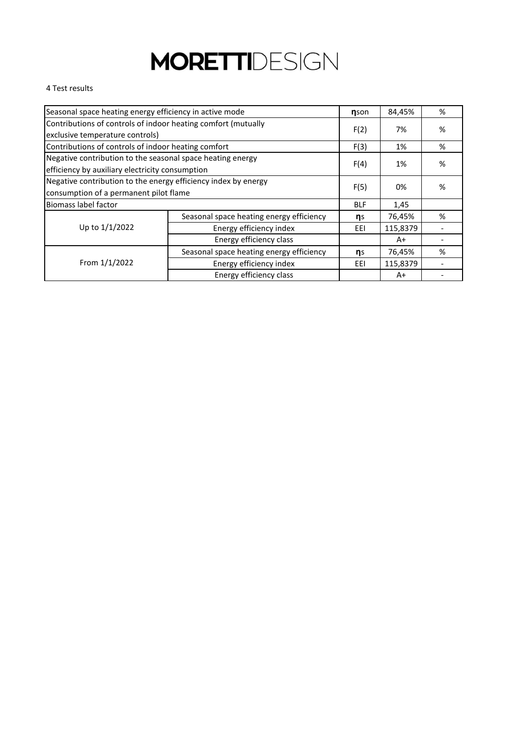#### 4 Test results

| Seasonal space heating energy efficiency in active mode        |                                          |      | 84,45%   | % |
|----------------------------------------------------------------|------------------------------------------|------|----------|---|
| Contributions of controls of indoor heating comfort (mutually  |                                          |      |          |   |
| exclusive temperature controls)                                |                                          | F(2) | 7%       | % |
| Contributions of controls of indoor heating comfort            |                                          | F(3) | 1%       | % |
| Negative contribution to the seasonal space heating energy     |                                          |      | 1%       | % |
| efficiency by auxiliary electricity consumption                |                                          | F(4) |          |   |
| Negative contribution to the energy efficiency index by energy |                                          | F(5) |          |   |
| consumption of a permanent pilot flame                         |                                          |      | 0%       | % |
| <b>Biomass label factor</b>                                    |                                          |      | 1,45     |   |
|                                                                | Seasonal space heating energy efficiency | ηs   | 76,45%   | % |
| Up to 1/1/2022                                                 | Energy efficiency index                  | EEI  | 115,8379 |   |
| Energy efficiency class                                        |                                          |      | A+       |   |
|                                                                | Seasonal space heating energy efficiency | ηs   | 76,45%   | % |
| From 1/1/2022                                                  | Energy efficiency index                  | EEI  | 115,8379 |   |
|                                                                | Energy efficiency class                  |      | $A+$     |   |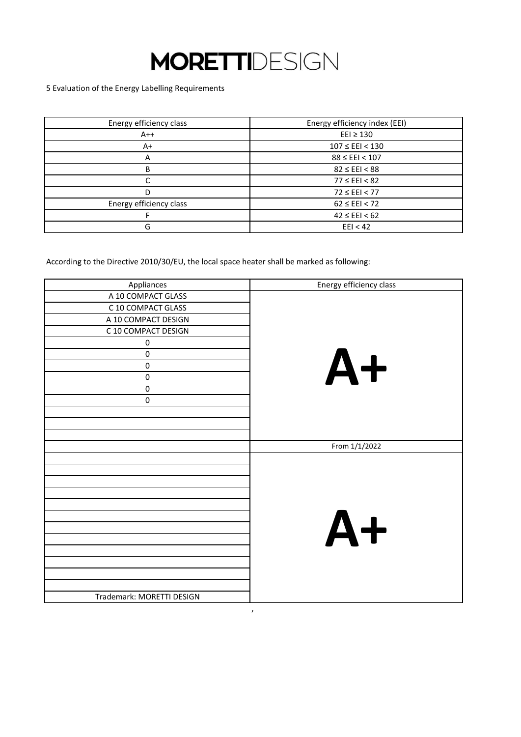5 Evaluation of the Energy Labelling Requirements

| Energy efficiency class | Energy efficiency index (EEI) |
|-------------------------|-------------------------------|
| $A++$                   | $E E1 \geq 130$               |
| A+                      | $107 \leq EEI < 130$          |
| A                       | $88 \leq EEI < 107$           |
| B                       | $82 \leq EEI < 88$            |
|                         | $77 \leq EEI < 82$            |
| D                       | $72 \leq EEI < 77$            |
| Energy efficiency class | $62 \leq EEI < 72$            |
|                         | $42 \leq EEI < 62$            |
| G                       | EEl < 42                      |

According to the Directive 2010/30/EU, the local space heater shall be marked as following:

| Appliances                | Energy efficiency class |
|---------------------------|-------------------------|
| A 10 COMPACT GLASS        |                         |
| C 10 COMPACT GLASS        |                         |
| A 10 COMPACT DESIGN       |                         |
| C 10 COMPACT DESIGN       |                         |
| $\pmb{0}$                 |                         |
| $\pmb{0}$                 |                         |
| $\pmb{0}$                 | $A+$                    |
| $\pmb{0}$                 |                         |
| $\pmb{0}$                 |                         |
| 0                         |                         |
|                           |                         |
|                           |                         |
|                           |                         |
|                           | From 1/1/2022           |
|                           |                         |
|                           |                         |
|                           |                         |
|                           |                         |
|                           |                         |
|                           | $A+$                    |
|                           |                         |
|                           |                         |
|                           |                         |
|                           |                         |
|                           |                         |
|                           |                         |
| Trademark: MORETTI DESIGN |                         |

,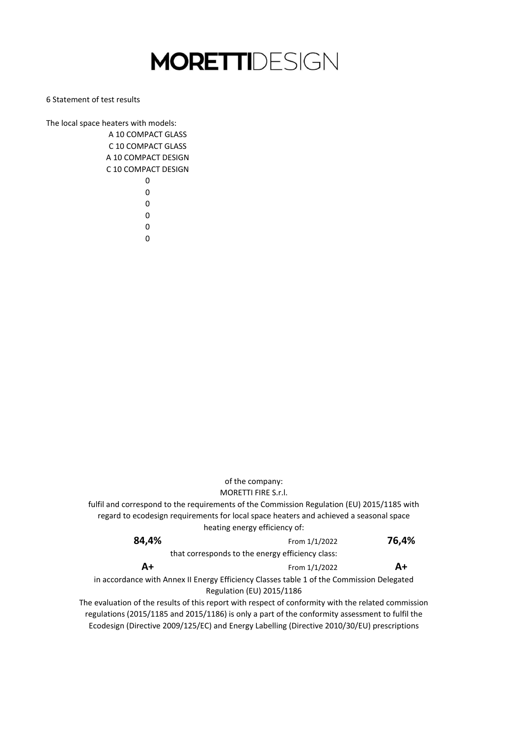6 Statement of test results

The local space heaters with models: A 10 COMPACT GLASS C 10 COMPACT GLASS

> A 10 COMPACT DESIGN C 10 COMPACT DESIGN

Ecodesign (Directive 2009/125/EC) and Energy Labelling (Directive 2010/30/EU) prescriptions that corresponds to the energy efficiency class: in accordance with Annex II Energy Efficiency Classes table 1 of the Commission Delegated Regulation (EU) 2015/1186 The evaluation of the results of this report with respect of conformity with the related commission regulations (2015/1185 and 2015/1186) is only a part of the conformity assessment to fulfil the of the company: **84,4% A+** From 1/1/2022 From 1/1/2022 **76,4% A+** MORETTI FIRE S.r.l. fulfil and correspond to the requirements of the Commission Regulation (EU) 2015/1185 with regard to ecodesign requirements for local space heaters and achieved a seasonal space heating energy efficiency of: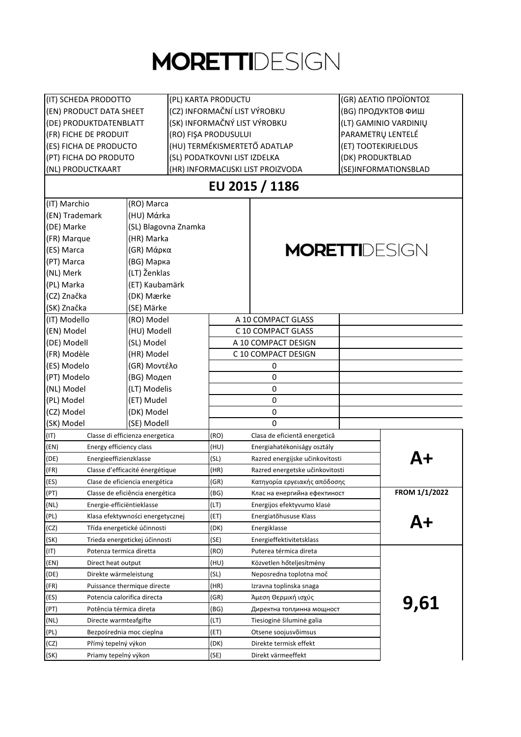| (IT) SCHEDA PRODOTTO                |                                  | (PL) KARTA PRODUCTU          |                                           | (GR) ΔΕΛΤΙΟ ΠΡΟΪΟΝΤΟΣ |               |
|-------------------------------------|----------------------------------|------------------------------|-------------------------------------------|-----------------------|---------------|
| (EN) PRODUCT DATA SHEET             |                                  | (CZ) INFORMAČNÍ LIST VÝROBKU |                                           | (BG) ПРОДУКТОВ ФИШ    |               |
| (DE) PRODUKTDATENBLATT              |                                  | (SK) INFORMAČNÝ LIST VÝROBKU |                                           | (LT) GAMINIO VARDINIŲ |               |
| (FR) FICHE DE PRODUIT               |                                  | (RO) FIŞA PRODUSULUI         |                                           | PARAMETRU LENTELÉ     |               |
| (ES) FICHA DE PRODUCTO              |                                  | (HU) TERMÉKISMERTETŐ ADATLAP |                                           | (ET) TOOTEKIRJELDUS   |               |
| (PT) FICHA DO PRODUTO               |                                  | (SL) PODATKOVNI LIST IZDELKA |                                           | (DK) PRODUKTBLAD      |               |
| (NL) PRODUCTKAART                   |                                  |                              | (HR) INFORMACIJSKI LIST PROIZVODA         | (SE)INFORMATIONSBLAD  |               |
|                                     |                                  |                              | EU 2015 / 1186                            |                       |               |
| (IT) Marchio                        | (RO) Marca                       |                              |                                           |                       |               |
| (EN) Trademark                      | (HU) Mάrka                       |                              |                                           |                       |               |
| (DE) Marke                          | (SL) Blagovna Znamka             |                              |                                           |                       |               |
| (FR) Marque                         | (HR) Marka                       |                              |                                           |                       |               |
| (ES) Marca                          | (GR) Μάρκα                       |                              | <b>MORETTI</b> DESIGN                     |                       |               |
| (PT) Marca                          | (BG) Марка                       |                              |                                           |                       |               |
| (NL) Merk                           | (LT) Ženklas                     |                              |                                           |                       |               |
| (PL) Marka                          | (ET) Kaubamärk                   |                              |                                           |                       |               |
| (CZ) Značka                         | (DK) Mærke                       |                              |                                           |                       |               |
| (SK) Značka                         | (SE) Märke                       |                              |                                           |                       |               |
| (IT) Modello                        | (RO) Model                       |                              | A 10 COMPACT GLASS                        |                       |               |
|                                     |                                  |                              |                                           |                       |               |
| (EN) Model                          | (HU) Modell                      |                              | C 10 COMPACT GLASS<br>A 10 COMPACT DESIGN |                       |               |
| (DE) Modell                         | (SL) Model                       |                              |                                           |                       |               |
| (FR) Modèle                         | (HR) Model                       |                              | C 10 COMPACT DESIGN                       |                       |               |
| (ES) Modelo                         | (GR) Μοντέλο                     |                              | 0                                         |                       |               |
| (PT) Modelo                         | (BG) Модеп                       |                              | 0                                         |                       |               |
| (NL) Model                          | (LT) Modelis                     |                              | 0                                         |                       |               |
| (PL) Model                          | (ET) Mudel                       |                              | $\mathbf 0$                               |                       |               |
| (CZ) Model                          | (DK) Model                       |                              | 0                                         |                       |               |
| (SK) Model                          | (SE) Modell                      |                              | 0                                         |                       |               |
| (IT)                                | Classe di efficienza energetica  | (RO)                         | Clasa de eficientă energetică             |                       |               |
| (EN)<br>Energy efficiency class     |                                  | (HU)                         | Energiahatékoniságy osztály               |                       |               |
| (DE)<br>Energieeffizienzklasse      |                                  | (SL)<br>(HR)                 | Razred energijske učinkovitosti           |                       | Д+            |
| (FR)                                | Classe d'efficacité énergétique  |                              | Razred energetske učinkovitosti           |                       |               |
| (ES)                                | Clase de eficiencia energética   | (GR)                         | Κατηγορία εργειακής απόδοσης              |                       |               |
| (PT)                                | Classe de eficiência energética  | (BG)                         | Клас на енергийна ефектиност              |                       | FROM 1/1/2022 |
| (NL)<br>Energie-efficiëntieklasse   |                                  | (LT)                         | Energijos efektyvumo klasė                |                       |               |
| (PL)                                | Klasa efektywności energetycznej | (ET)                         | Energiatõhususe Klass                     |                       | A+            |
| (CZ)                                | Třída energetické účinnosti      | (DK)                         | Energiklasse                              |                       |               |
| (SK)                                | Trieda energetickej účinnosti    | (SE)                         | Energieffektivitetsklass                  |                       |               |
| (IT)<br>Potenza termica diretta     |                                  | (RO)                         | Puterea térmica direta                    |                       |               |
| (EN)<br>Direct heat output          |                                  | (HU)                         | Közvetlen hőteljesítmény                  |                       |               |
| (DE)<br>Direkte wärmeleistung       |                                  | (SL)                         | Neposredna toplotna moč                   |                       |               |
| (FR)                                | Puissance thermique directe      | (HR)                         | Izravna toplinska snaga                   |                       |               |
| (ES)<br>Potencia calorifica directa |                                  | (GR)                         | Άμεση Θερμική ισχύς                       |                       | 9,61          |
| (PT)<br>Potência térmica direta     |                                  | (BG)                         | Директна топлинна мощност                 |                       |               |
| (NL)<br>Directe warmteafgifte       |                                  | (LT)                         | Tiesioginė šiluminė galia                 |                       |               |
| (PL)<br>Bezpośrednia moc cieplna    |                                  | (ET)                         | Otsene soojusvõimsus                      |                       |               |
| (CZ)<br>Přímý tepelný výkon         |                                  | (DK)                         | Direkte termisk effekt                    |                       |               |
| (SK)<br>Priamy tepelný výkon        |                                  | (SE)                         | Direkt värmeeffekt                        |                       |               |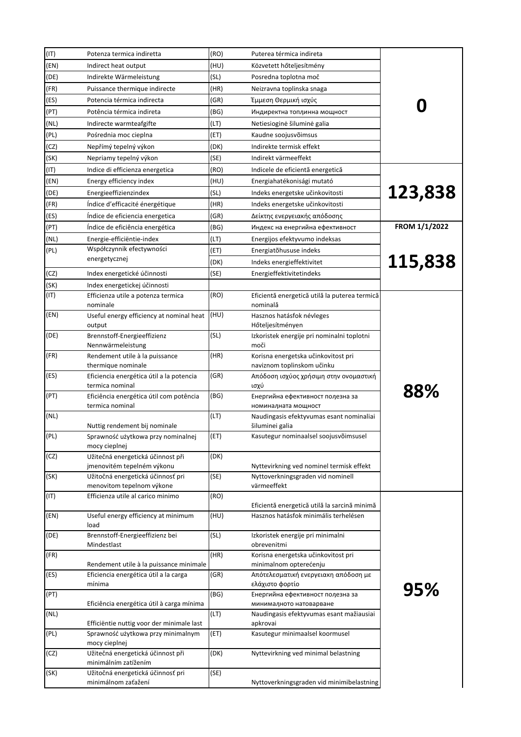| (IT) | Potenza termica indiretta                                       | (RO) | Puterea térmica indireta                                          |               |
|------|-----------------------------------------------------------------|------|-------------------------------------------------------------------|---------------|
| (EN) | Indirect heat output                                            | (HU) | Közvetett hőteljesítmény                                          |               |
| (DE) | Indirekte Wärmeleistung                                         | (SL) | Posredna toplotna moč                                             |               |
| (FR) | Puissance thermique indirecte                                   | (HR) | Neizravna toplinska snaga                                         |               |
| (ES) | Potencia térmica indirecta                                      | (GR) | Έμμεση Θερμική ισχύς                                              |               |
| (PT) | Potência térmica indireta                                       | (BG) | Индиректна топлинна мощност                                       |               |
| (NL) | Indirecte warmteafgifte                                         | (LT) | Netiesioginė šiluminė galia                                       |               |
| (PL) | Pośrednia moc cieplna                                           | (ET) | Kaudne soojusvõimsus                                              |               |
| (CZ) | Nepřímý tepelný výkon                                           | (DK) | Indirekte termisk effekt                                          |               |
| (SK) | Nepriamy tepelný výkon                                          | (SE) | Indirekt värmeeffekt                                              |               |
| (IT) | Indice di efficienza energetica                                 | (RO) | Indicele de eficientă energetică                                  |               |
| (EN) | Energy efficiency index                                         | (HU) | Energiahatékonisági mutató                                        |               |
| (DE) | Energieeffizienzindex                                           | (SL) | Indeks energetske učinkovitosti                                   | 123,838       |
| (FR) | Índice d'efficacité énergétique                                 | (HR) | Indeks energetske učinkovitosti                                   |               |
| (ES) | Índice de eficiencia energetica                                 | (GR) | Δείκτης ενεργειακής απόδοσης                                      |               |
| (PT) | Índice de eficiência energética                                 | (BG) | Индекс на енергийна ефективност                                   | FROM 1/1/2022 |
| (NL) | Energie-efficiëntie-index                                       | (LT) | Energijos efektyvumo indeksas                                     |               |
| (PL) | Współczynnik efectywności                                       | (ET) | Energiatõhususe indeks                                            |               |
|      | energetycznej                                                   | (DK) | Indeks energieffektivitet                                         | 115,838       |
| (CZ) | Index energetické účinnosti                                     | (SE) | Energieffektivitetindeks                                          |               |
| (SK) | Index energetickej účinnosti                                    |      |                                                                   |               |
| (IT) | Efficienza utile a potenza termica<br>nominale                  | (RO) | Eficientă energetică utilă la puterea termică<br>nominală         |               |
| (EN) | Useful energy efficiency at nominal heat<br>output              | (HU) | Hasznos hatásfok névleges<br>Hőteljesítményen                     |               |
| (DE) | Brennstoff-Energieeffizienz<br>Nennwärmeleistung                | (SL) | Izkoristek energije pri nominalni toplotni<br>moči                |               |
| (FR) | Rendement utile à la puissance<br>thermique nominale            | (HR) | Korisna energetska učinkovitost pri<br>naviznom toplinskom učinku |               |
| (ES) | Eficiencia energética útil a la potencia<br>termica nominal     | (GR) | Απόδοση ισχύος χρήσιμη στην ονομαστική<br>ισχύ                    |               |
| (PT) | Eficiência energética útil com potência<br>termica nominal      | (BG) | Енергийна ефективност полезна за<br>номиналната мощност           | 88%           |
| (NL) | Nuttig rendement bij nominale                                   | (LT) | Naudingasis efektyvumas esant nominaliai<br>šiluminei galia       |               |
| (PL) | Sprawność użytkowa przy nominalnej<br>mocy cieplnej             | (ET) | Kasutegur nominaalsel soojusvõimsusel                             |               |
| (CZ) | Užitečná energetická účinnost při<br>jmenovitém tepelném výkonu | (DK) | Nyttevirkning ved nominel termisk effekt                          |               |
| (SK) | Užitočná energetická účinnosť pri<br>menovitom tepelnom výkone  | (SE) | Nyttoverkningsgraden vid nominell<br>värmeeffekt                  |               |
| (TI) | Efficienza utile al carico minimo                               | (RO) | Eficientă energetică utilă la sarcină minimă                      |               |
| (EN) | Useful energy efficiency at minimum<br>load                     | (HU) | Hasznos hatásfok minimális terhelésen                             |               |
| (DE) | Brennstoff-Energieeffizienz bei<br>Mindestlast                  | (SL) | Izkoristek energije pri minimalni<br>obrevenitmi                  |               |
| (FR) | Rendement utile à la puissance minimale                         | (HR) | Korisna energetska učinkovitost pri<br>minimalnom opterećenju     |               |
| (ES) | Eficiencia energética útil a la carga<br>mínima                 | (GR) | Απότελεσματική ενεργειακη απόδοση με<br>ελάχιστο φορτίο           |               |
| (PT) | Eficiência energética útil à carga mínima                       | (BG) | Енергийна ефективност полезна за<br>минималното натоварване       | 95%           |
| (NL) | Efficiëntie nuttig voor der minimale last                       | (LT) | Naudingasis efektyvumas esant mažiausiai<br>apkrovai              |               |
| (PL) | Sprawność użytkowa przy minimalnym<br>mocy cieplnej             | (ET) | Kasutegur minimaalsel koormusel                                   |               |
| (CZ) | Užitečná energetická účinnost při<br>minimálním zatížením       | (DK) | Nyttevirkning ved minimal belastning                              |               |
| (SK) | Užitočná energetická účinnosť pri<br>minimálnom zaťažení        | (SE) | Nyttoverkningsgraden vid minimibelastning                         |               |